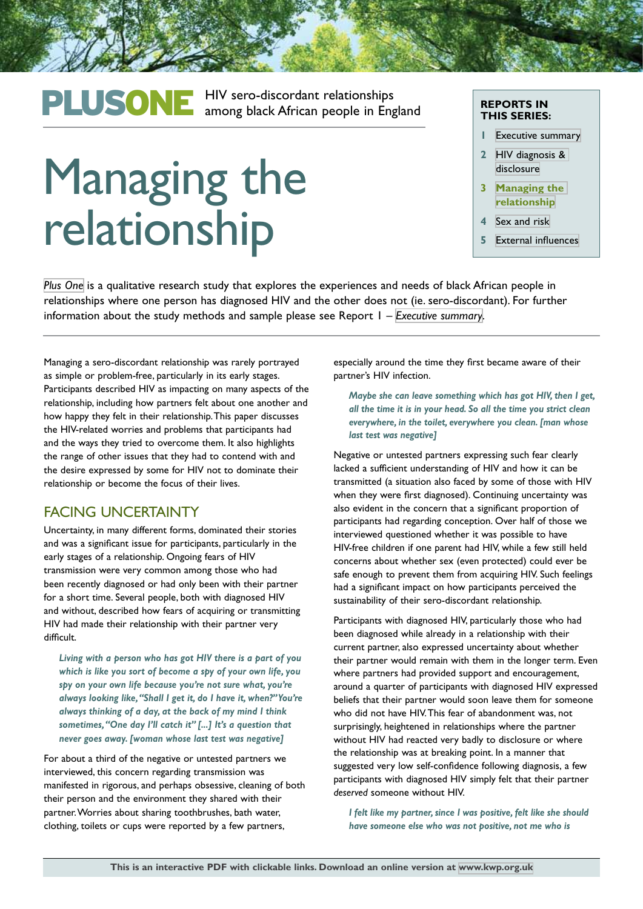## PLUSONE HIV sero-discordant relationships<br>
among black African people in England

# Managing the relationship

#### **REPORTS IN THIS SERIES:**

- **1** [Executive summary](http://kwp.org.uk/files/PlusOne-Executive-Summary.pdf)
- **2** [HIV diagnosis &](http://kwp.org.uk/files/PlusOne-HIV-diagnosis-disclusure.pdf)  [disclosure](http://kwp.org.uk/files/PlusOne-HIV-diagnosis-disclusure.pdf)
- **3 [Managing the](http://kwp.org.uk/files/PlusOne-Managing-the-relationship.pdf)  [relationship](http://kwp.org.uk/files/PlusOne-Managing-the-relationship.pdf)**
- **4** [Sex and risk](http://kwp.org.uk/files/PlusOne-Sex-and-risk.pdf)
- **5** [External influences](http://kwp.org.uk/files/PlusOne-External-influences.pdf)

*[Plus One](http://kwp.org.uk/planning/plusone)* is a qualitative research study that explores the experiences and needs of black African people in relationships where one person has diagnosed HIV and the other does not (ie. sero-discordant). For further information about the study methods and sample please see Report 1 – *[Executive summary](http://kwp.org.uk/files/PlusOne-Executive-Summary.pdf)*.

Managing a sero-discordant relationship was rarely portrayed as simple or problem-free, particularly in its early stages. Participants described HIV as impacting on many aspects of the relationship, including how partners felt about one another and how happy they felt in their relationship. This paper discusses the HIV-related worries and problems that participants had and the ways they tried to overcome them. It also highlights the range of other issues that they had to contend with and the desire expressed by some for HIV not to dominate their relationship or become the focus of their lives.

### FACING UNCERTAINTY

Uncertainty, in many different forms, dominated their stories and was a significant issue for participants, particularly in the early stages of a relationship. Ongoing fears of HIV transmission were very common among those who had been recently diagnosed or had only been with their partner for a short time. Several people, both with diagnosed HIV and without, described how fears of acquiring or transmitting HIV had made their relationship with their partner very difficult.

*Living with a person who has got HIV there is a part of you which is like you sort of become a spy of your own life, you spy on your own life because you're not sure what, you're always looking like, "Shall I get it, do I have it, when?" You're always thinking of a day, at the back of my mind I think sometimes, "One day I'll catch it" [...] It's a question that never goes away. [woman whose last test was negative]*

For about a third of the negative or untested partners we interviewed, this concern regarding transmission was manifested in rigorous, and perhaps obsessive, cleaning of both their person and the environment they shared with their partner. Worries about sharing toothbrushes, bath water, clothing, toilets or cups were reported by a few partners,

especially around the time they first became aware of their partner's HIV infection.

*Maybe she can leave something which has got HIV, then I get, all the time it is in your head. So all the time you strict clean everywhere, in the toilet, everywhere you clean. [man whose last test was negative]*

Negative or untested partners expressing such fear clearly lacked a sufficient understanding of HIV and how it can be transmitted (a situation also faced by some of those with HIV when they were first diagnosed). Continuing uncertainty was also evident in the concern that a significant proportion of participants had regarding conception. Over half of those we interviewed questioned whether it was possible to have HIV-free children if one parent had HIV, while a few still held concerns about whether sex (even protected) could ever be safe enough to prevent them from acquiring HIV. Such feelings had a significant impact on how participants perceived the sustainability of their sero-discordant relationship.

Participants with diagnosed HIV, particularly those who had been diagnosed while already in a relationship with their current partner, also expressed uncertainty about whether their partner would remain with them in the longer term. Even where partners had provided support and encouragement, around a quarter of participants with diagnosed HIV expressed beliefs that their partner would soon leave them for someone who did not have HIV. This fear of abandonment was, not surprisingly, heightened in relationships where the partner without HIV had reacted very badly to disclosure or where the relationship was at breaking point. In a manner that suggested very low self-confidence following diagnosis, a few participants with diagnosed HIV simply felt that their partner *deserved* someone without HIV.

*I felt like my partner, since I was positive, felt like she should have someone else who was not positive, not me who is*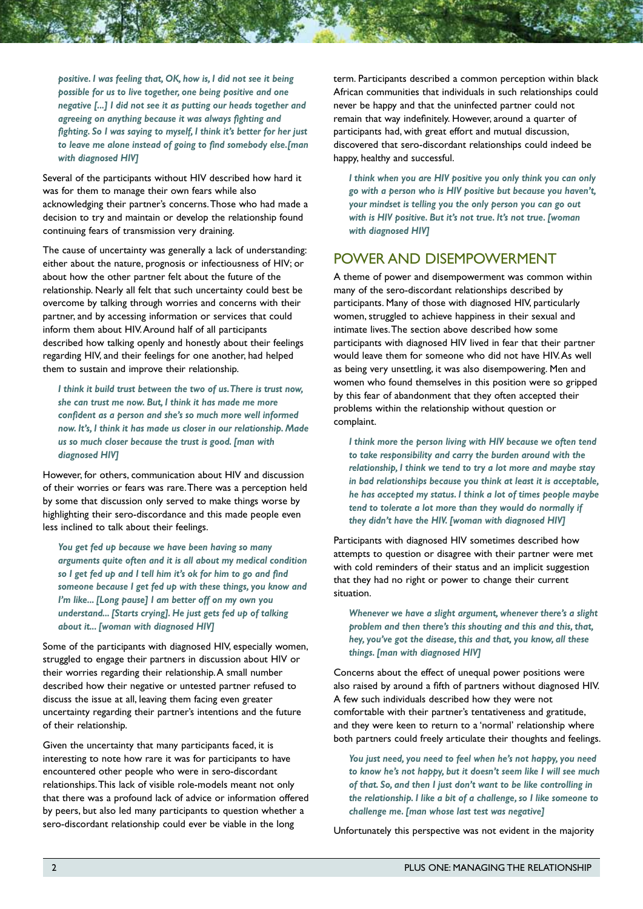*positive. I was feeling that, OK, how is, I did not see it being possible for us to live together, one being positive and one negative [...] I did not see it as putting our heads together and agreeing on anything because it was always fighting and fighting. So I was saying to myself, I think it's better for her just to leave me alone instead of going to find somebody else.[man with diagnosed HIV]*

Several of the participants without HIV described how hard it was for them to manage their own fears while also acknowledging their partner's concerns. Those who had made a decision to try and maintain or develop the relationship found continuing fears of transmission very draining.

The cause of uncertainty was generally a lack of understanding: either about the nature, prognosis or infectiousness of HIV; or about how the other partner felt about the future of the relationship. Nearly all felt that such uncertainty could best be overcome by talking through worries and concerns with their partner, and by accessing information or services that could inform them about HIV. Around half of all participants described how talking openly and honestly about their feelings regarding HIV, and their feelings for one another, had helped them to sustain and improve their relationship.

*I think it build trust between the two of us. There is trust now, she can trust me now. But, I think it has made me more confident as a person and she's so much more well informed now. It's, I think it has made us closer in our relationship. Made us so much closer because the trust is good. [man with diagnosed HIV]*

However, for others, communication about HIV and discussion of their worries or fears was rare. There was a perception held by some that discussion only served to make things worse by highlighting their sero-discordance and this made people even less inclined to talk about their feelings.

*You get fed up because we have been having so many arguments quite often and it is all about my medical condition so I get fed up and I tell him it's ok for him to go and find someone because I get fed up with these things, you know and I'm like... [Long pause] I am better off on my own you understand... [Starts crying]. He just gets fed up of talking about it... [woman with diagnosed HIV]*

Some of the participants with diagnosed HIV, especially women, struggled to engage their partners in discussion about HIV or their worries regarding their relationship. A small number described how their negative or untested partner refused to discuss the issue at all, leaving them facing even greater uncertainty regarding their partner's intentions and the future of their relationship.

Given the uncertainty that many participants faced, it is interesting to note how rare it was for participants to have encountered other people who were in sero-discordant relationships. This lack of visible role-models meant not only that there was a profound lack of advice or information offered by peers, but also led many participants to question whether a sero-discordant relationship could ever be viable in the long

term. Participants described a common perception within black African communities that individuals in such relationships could never be happy and that the uninfected partner could not remain that way indefinitely. However, around a quarter of participants had, with great effort and mutual discussion, discovered that sero-discordant relationships could indeed be happy, healthy and successful.

*I think when you are HIV positive you only think you can only go with a person who is HIV positive but because you haven't, your mindset is telling you the only person you can go out with is HIV positive. But it's not true. It's not true. [woman with diagnosed HIV]*

#### POWER AND DISEMPOWERMENT

A theme of power and disempowerment was common within many of the sero-discordant relationships described by participants. Many of those with diagnosed HIV, particularly women, struggled to achieve happiness in their sexual and intimate lives. The section above described how some participants with diagnosed HIV lived in fear that their partner would leave them for someone who did not have HIV. As well as being very unsettling, it was also disempowering. Men and women who found themselves in this position were so gripped by this fear of abandonment that they often accepted their problems within the relationship without question or complaint.

*I think more the person living with HIV because we often tend to take responsibility and carry the burden around with the relationship, I think we tend to try a lot more and maybe stay in bad relationships because you think at least it is acceptable, he has accepted my status. I think a lot of times people maybe tend to tolerate a lot more than they would do normally if they didn't have the HIV. [woman with diagnosed HIV]*

Participants with diagnosed HIV sometimes described how attempts to question or disagree with their partner were met with cold reminders of their status and an implicit suggestion that they had no right or power to change their current situation.

*Whenever we have a slight argument, whenever there's a slight problem and then there's this shouting and this and this, that, hey, you've got the disease, this and that, you know, all these things. [man with diagnosed HIV]*

Concerns about the effect of unequal power positions were also raised by around a fifth of partners without diagnosed HIV. A few such individuals described how they were not comfortable with their partner's tentativeness and gratitude, and they were keen to return to a 'normal' relationship where both partners could freely articulate their thoughts and feelings.

*You just need, you need to feel when he's not happy, you need to know he's not happy, but it doesn't seem like I will see much of that. So, and then I just don't want to be like controlling in the relationship. I like a bit of a challenge, so I like someone to challenge me. [man whose last test was negative]*

Unfortunately this perspective was not evident in the majority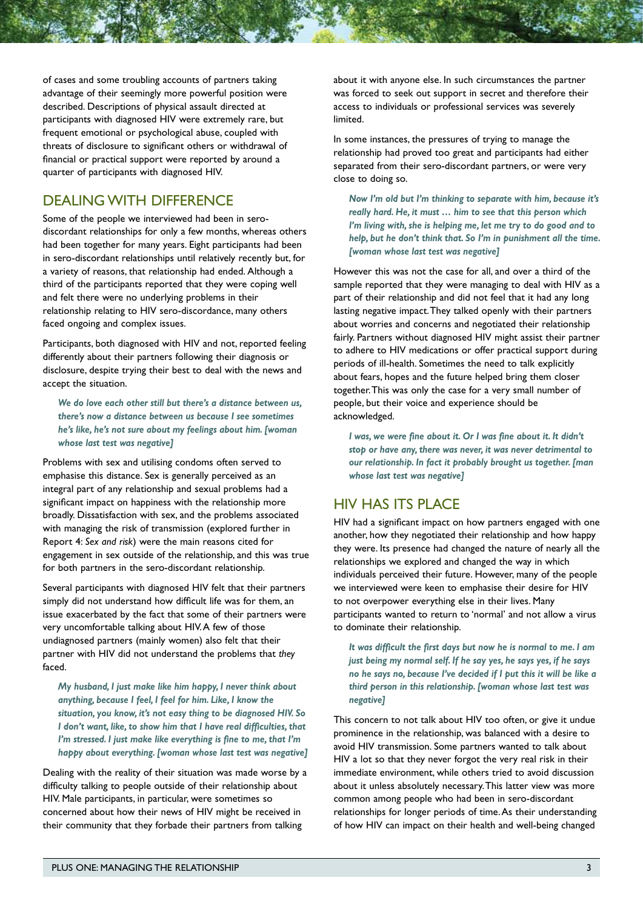of cases and some troubling accounts of partners taking advantage of their seemingly more powerful position were described. Descriptions of physical assault directed at participants with diagnosed HIV were extremely rare, but frequent emotional or psychological abuse, coupled with threats of disclosure to significant others or withdrawal of financial or practical support were reported by around a quarter of participants with diagnosed HIV.

### DEALING WITH DIFFERENCE

Some of the people we interviewed had been in serodiscordant relationships for only a few months, whereas others had been together for many years. Eight participants had been in sero-discordant relationships until relatively recently but, for a variety of reasons, that relationship had ended. Although a third of the participants reported that they were coping well and felt there were no underlying problems in their relationship relating to HIV sero-discordance, many others faced ongoing and complex issues.

Participants, both diagnosed with HIV and not, reported feeling differently about their partners following their diagnosis or disclosure, despite trying their best to deal with the news and accept the situation.

*We do love each other still but there's a distance between us, there's now a distance between us because I see sometimes he's like, he's not sure about my feelings about him. [woman whose last test was negative]*

Problems with sex and utilising condoms often served to emphasise this distance. Sex is generally perceived as an integral part of any relationship and sexual problems had a significant impact on happiness with the relationship more broadly. Dissatisfaction with sex, and the problems associated with managing the risk of transmission (explored further in Report 4: *Sex and risk*) were the main reasons cited for engagement in sex outside of the relationship, and this was true for both partners in the sero-discordant relationship.

Several participants with diagnosed HIV felt that their partners simply did not understand how difficult life was for them, an issue exacerbated by the fact that some of their partners were very uncomfortable talking about HIV. A few of those undiagnosed partners (mainly women) also felt that their partner with HIV did not understand the problems that *they* faced.

*My husband, I just make like him happy, I never think about anything, because I feel, I feel for him. Like, I know the situation, you know, it's not easy thing to be diagnosed HIV. So I don't want, like, to show him that I have real difficulties, that I'm stressed. I just make like everything is fine to me, that I'm happy about everything. [woman whose last test was negative]*

Dealing with the reality of their situation was made worse by a difficulty talking to people outside of their relationship about HIV. Male participants, in particular, were sometimes so concerned about how their news of HIV might be received in their community that they forbade their partners from talking

about it with anyone else. In such circumstances the partner was forced to seek out support in secret and therefore their access to individuals or professional services was severely limited.

In some instances, the pressures of trying to manage the relationship had proved too great and participants had either separated from their sero-discordant partners, or were very close to doing so.

*Now I'm old but I'm thinking to separate with him, because it's really hard. He, it must … him to see that this person which I'm living with, she is helping me, let me try to do good and to help, but he don't think that. So I'm in punishment all the time. [woman whose last test was negative]*

However this was not the case for all, and over a third of the sample reported that they were managing to deal with HIV as a part of their relationship and did not feel that it had any long lasting negative impact. They talked openly with their partners about worries and concerns and negotiated their relationship fairly. Partners without diagnosed HIV might assist their partner to adhere to HIV medications or offer practical support during periods of ill-health. Sometimes the need to talk explicitly about fears, hopes and the future helped bring them closer together. This was only the case for a very small number of people, but their voice and experience should be acknowledged.

*I was, we were fine about it. Or I was fine about it. It didn't stop or have any, there was never, it was never detrimental to our relationship. In fact it probably brought us together. [man whose last test was negative]*

### HIV HAS ITS PLACE

HIV had a significant impact on how partners engaged with one another, how they negotiated their relationship and how happy they were. Its presence had changed the nature of nearly all the relationships we explored and changed the way in which individuals perceived their future. However, many of the people we interviewed were keen to emphasise their desire for HIV to not overpower everything else in their lives. Many participants wanted to return to 'normal' and not allow a virus to dominate their relationship.

*It was difficult the first days but now he is normal to me. I am just being my normal self. If he say yes, he says yes, if he says no he says no, because I've decided if I put this it will be like a third person in this relationship. [woman whose last test was negative]*

This concern to not talk about HIV too often, or give it undue prominence in the relationship, was balanced with a desire to avoid HIV transmission. Some partners wanted to talk about HIV a lot so that they never forgot the very real risk in their immediate environment, while others tried to avoid discussion about it unless absolutely necessary. This latter view was more common among people who had been in sero-discordant relationships for longer periods of time. As their understanding of how HIV can impact on their health and well-being changed